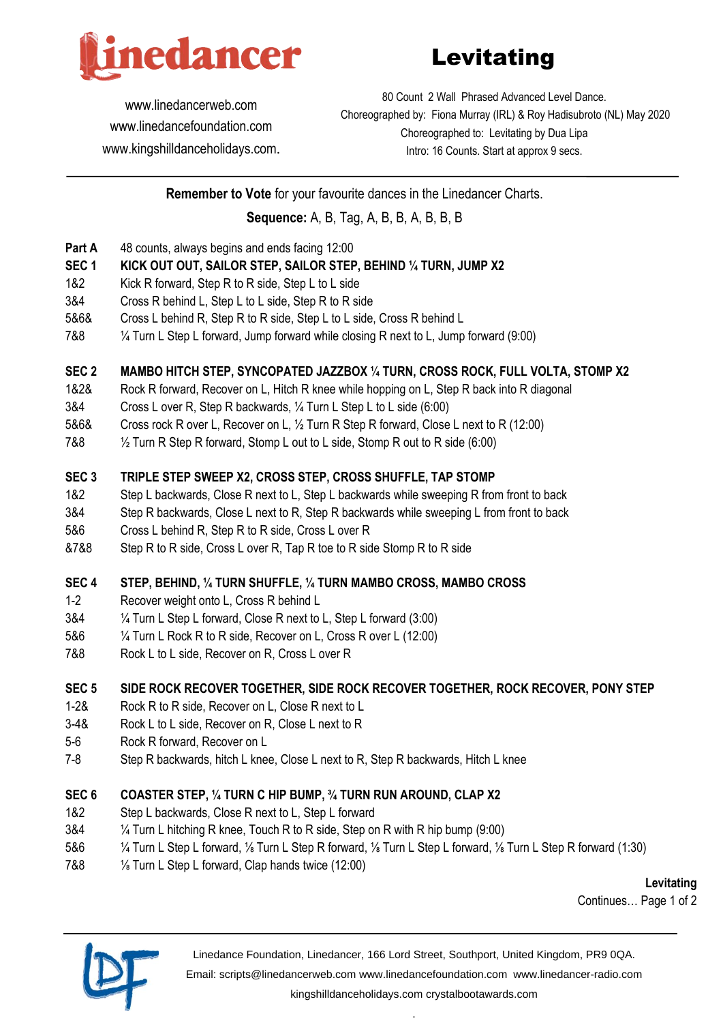

# Levitating

[www.linedancerweb.com](http://www.linedancerweb.com/) [www.linedancefoundation.com](http://www.linedancerweb.com/)  [www.kingshilldanceholidays.com](http://www.kingshilldanceholidays.com/).

80 Count 2 Wall Phrased Advanced Level Dance. Choreographed by: Fiona Murray (IRL) & Roy Hadisubroto (NL) May 2020 Choreographed to: Levitating by Dua Lipa Intro: 16 Counts. Start at approx 9 secs.

**Remember to Vote** for your favourite dances in the Linedancer Charts. **Sequence:** A, B, Tag, A, B, B, A, B, B, B

- **Part A** 48 counts, always begins and ends facing 12:00
- **SEC 1 KICK OUT OUT, SAILOR STEP, SAILOR STEP, BEHIND ¼ TURN, JUMP X2**
- 1&2 Kick R forward, Step R to R side, Step L to L side
- 3&4 Cross R behind L, Step L to L side, Step R to R side
- 5&6& Cross L behind R, Step R to R side, Step L to L side, Cross R behind L
- 7&8 ¼ Turn L Step L forward, Jump forward while closing R next to L, Jump forward (9:00)

#### **SEC 2 MAMBO HITCH STEP, SYNCOPATED JAZZBOX ¼ TURN, CROSS ROCK, FULL VOLTA, STOMP X2**

- 1&2& Rock R forward, Recover on L, Hitch R knee while hopping on L, Step R back into R diagonal
- 3&4 Cross L over R, Step R backwards, ¼ Turn L Step L to L side (6:00)
- 5&6& Cross rock R over L, Recover on L, ½ Turn R Step R forward, Close L next to R (12:00)
- 7&8 ½ Turn R Step R forward, Stomp L out to L side, Stomp R out to R side (6:00)

## **SEC 3 TRIPLE STEP SWEEP X2, CROSS STEP, CROSS SHUFFLE, TAP STOMP**

- 1&2 Step L backwards, Close R next to L, Step L backwards while sweeping R from front to back
- 3&4 Step R backwards, Close L next to R, Step R backwards while sweeping L from front to back
- 5&6 Cross L behind R, Step R to R side, Cross L over R
- &7&8 Step R to R side, Cross L over R, Tap R toe to R side Stomp R to R side

#### **SEC 4 STEP, BEHIND, ¼ TURN SHUFFLE, ¼ TURN MAMBO CROSS, MAMBO CROSS**

- 1-2 Recover weight onto L, Cross R behind L
- 3&4 ¼ Turn L Step L forward, Close R next to L, Step L forward (3:00)
- 5&6 ¼ Turn L Rock R to R side, Recover on L, Cross R over L (12:00)
- 7&8 Rock L to L side, Recover on R, Cross L over R

## **SEC 5 SIDE ROCK RECOVER TOGETHER, SIDE ROCK RECOVER TOGETHER, ROCK RECOVER, PONY STEP**

- 1-2& Rock R to R side, Recover on L, Close R next to L
- 3-4& Rock L to L side, Recover on R, Close L next to R
- 5-6 Rock R forward, Recover on L
- 7-8 Step R backwards, hitch L knee, Close L next to R, Step R backwards, Hitch L knee

## **SEC 6 COASTER STEP, ¼ TURN C HIP BUMP, ¾ TURN RUN AROUND, CLAP X2**

- 1&2 Step L backwards, Close R next to L, Step L forward
- 3&4 ¼ Turn L hitching R knee, Touch R to R side, Step on R with R hip bump (9:00)
- 5&6 ¼ Turn L Step L forward, ⅛ Turn L Step R forward, ⅛ Turn L Step L forward, ⅛ Turn L Step R forward (1:30)
- 7&8 ⅛ Turn L Step L forward, Clap hands twice (12:00)

**Levitating**

Continues… Page 1 of 2



Linedance Foundation, Linedancer, 166 Lord Street, Southport, United Kingdom, PR9 0QA.

Email: [scripts@linedancerweb.com](mailto:scripts@linedancerweb.com) [www.linedancefoundation.com](http://www.linedancefoundation.com/) [www.linedancer-radio.com](http://www.linedancer-radio.com/)

[kingshilldanceholidays.com](http://kingshilldanceholidays.com/) [crystalbootawards.com](http://crystalbootawards.com/) .